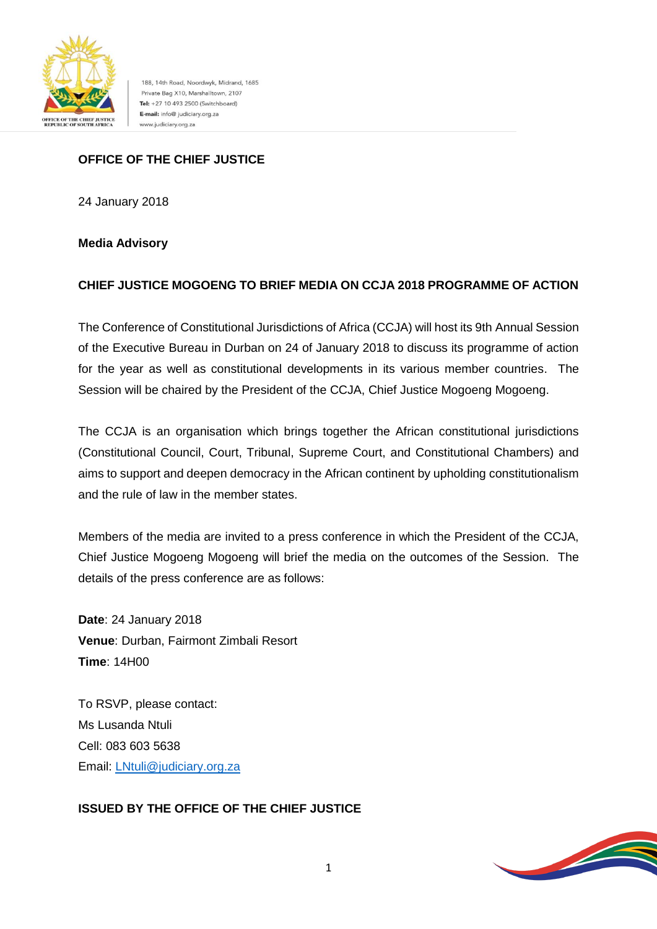

188, 14th Road, Noordwyk, Midrand, 1685 Private Bag X10, Marshalltown, 2107 Tel: +27 10 493 2500 (Switchboard) E-mail: info@ judiciary.org.za www.judiciary.org.za

# **OFFICE OF THE CHIEF JUSTICE**

24 January 2018

### **Media Advisory**

### **CHIEF JUSTICE MOGOENG TO BRIEF MEDIA ON CCJA 2018 PROGRAMME OF ACTION**

The Conference of Constitutional Jurisdictions of Africa (CCJA) will host its 9th Annual Session of the Executive Bureau in Durban on 24 of January 2018 to discuss its programme of action for the year as well as constitutional developments in its various member countries. The Session will be chaired by the President of the CCJA, Chief Justice Mogoeng Mogoeng.

The CCJA is an organisation which brings together the African constitutional jurisdictions (Constitutional Council, Court, Tribunal, Supreme Court, and Constitutional Chambers) and aims to support and deepen democracy in the African continent by upholding constitutionalism and the rule of law in the member states.

Members of the media are invited to a press conference in which the President of the CCJA, Chief Justice Mogoeng Mogoeng will brief the media on the outcomes of the Session. The details of the press conference are as follows:

**Date**: 24 January 2018 **Venue**: Durban, Fairmont Zimbali Resort **Time**: 14H00

To RSVP, please contact: Ms Lusanda Ntuli Cell: 083 603 5638 Email: [LNtuli@judiciary.org.za](mailto:LNtuli@judiciary.org.za)

### **ISSUED BY THE OFFICE OF THE CHIEF JUSTICE**